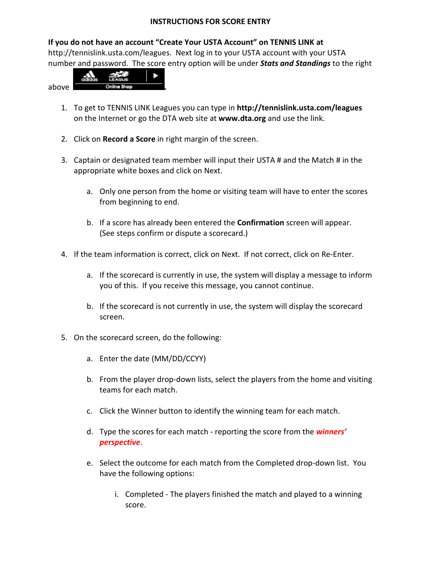## **INSTRUCTIONS FOR SCORE ENTRY**

## **If you do not have an account "Create Your USTA Account" on TENNIS LINK at**

[http://tennislink.usta.com/leagues.](http://tennislink.usta.com/leagues) Next log in to your USTA account with your USTA number and password. The score entry option will be under *Stats and Standings* to the right



- 1. To get to TENNIS LINK Leagues you can type in **<http://tennislink.usta.com/leagues>** on the Internet or go the DTA web site at **www.dta.org** and use the link.
- 2. Click on **Record a Score** in right margin of the screen.
- 3. Captain or designated team member will input their USTA # and the Match # in the appropriate white boxes and click on Next.
	- a. Only one person from the home or visiting team will have to enter the scores from beginning to end.
	- b. If a score has already been entered the **Confirmation** screen will appear. (See steps confirm or dispute a scorecard.)
- 4. If the team information is correct, click on Next. If not correct, click on Re-Enter.
	- a. If the scorecard is currently in use, the system will display a message to inform you of this. If you receive this message, you cannot continue.
	- b. If the scorecard is not currently in use, the system will display the scorecard screen.
- 5. On the scorecard screen, do the following:
	- a. Enter the date (MM/DD/CCYY)
	- b. From the player drop-down lists, select the players from the home and visiting teams for each match.
	- c. Click the Winner button to identify the winning team for each match.
	- d. Type the scores for each match reporting the score from the *winners' perspective*.
	- e. Select the outcome for each match from the Completed drop-down list. You have the following options:
		- i. Completed The players finished the match and played to a winning score.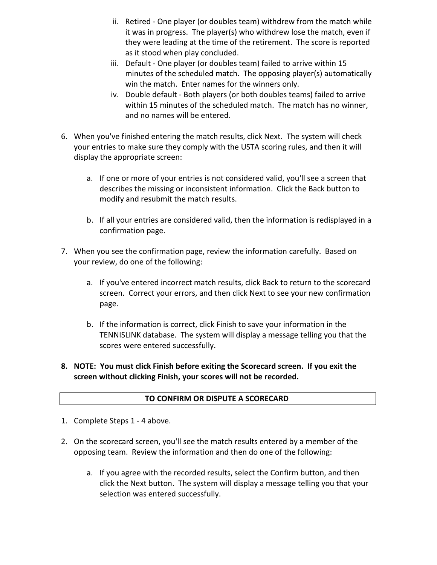- ii. Retired One player (or doubles team) withdrew from the match while it was in progress. The player(s) who withdrew lose the match, even if they were leading at the time of the retirement. The score is reported as it stood when play concluded.
- iii. Default One player (or doubles team) failed to arrive within 15 minutes of the scheduled match. The opposing player(s) automatically win the match. Enter names for the winners only.
- iv. Double default Both players (or both doubles teams) failed to arrive within 15 minutes of the scheduled match. The match has no winner, and no names will be entered.
- 6. When you've finished entering the match results, click Next. The system will check your entries to make sure they comply with the USTA scoring rules, and then it will display the appropriate screen:
	- a. If one or more of your entries is not considered valid, you'll see a screen that describes the missing or inconsistent information. Click the Back button to modify and resubmit the match results.
	- b. If all your entries are considered valid, then the information is redisplayed in a confirmation page.
- 7. When you see the confirmation page, review the information carefully. Based on your review, do one of the following:
	- a. If you've entered incorrect match results, click Back to return to the scorecard screen. Correct your errors, and then click Next to see your new confirmation page.
	- b. If the information is correct, click Finish to save your information in the TENNISLINK database. The system will display a message telling you that the scores were entered successfully.
- **8. NOTE: You must click Finish before exiting the Scorecard screen. If you exit the screen without clicking Finish, your scores will not be recorded.**

## **TO CONFIRM OR DISPUTE A SCORECARD**

- 1. Complete Steps 1 4 above.
- 2. On the scorecard screen, you'll see the match results entered by a member of the opposing team. Review the information and then do one of the following:
	- a. If you agree with the recorded results, select the Confirm button, and then click the Next button. The system will display a message telling you that your selection was entered successfully.